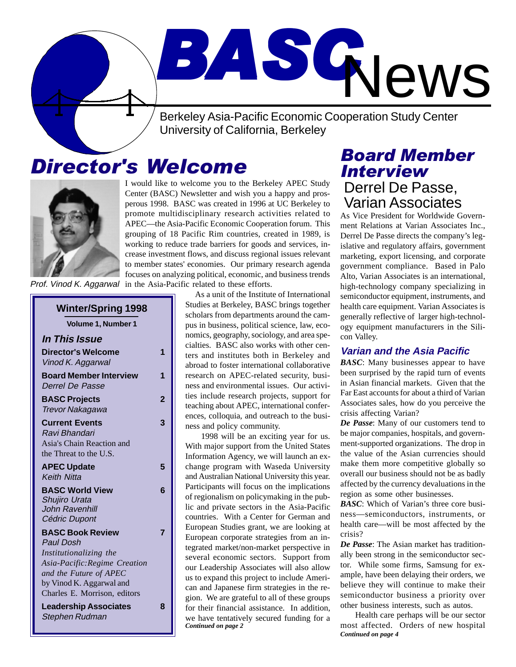Berkeley Asia-Pacific Economic Cooperation Study Center University of California, Berkeley

# Director's Welcome



I would like to welcome you to the Berkeley APEC Study Center (BASC) Newsletter and wish you a happy and prosperous 1998. BASC was created in 1996 at UC Berkeley to promote multidisciplinary research activities related to APEC—the Asia-Pacific Economic Cooperation forum. This grouping of 18 Pacific Rim countries, created in 1989, is working to reduce trade barriers for goods and services, increase investment flows, and discuss regional issues relevant to member states' economies. Our primary research agenda focuses on analyzing political, economic, and business trends in the Asia-Pacific related to these efforts.

Prof. Vinod K. Aggarwal

| <b>Winter/Spring 1998</b>                                                                                                                                                                    |   |
|----------------------------------------------------------------------------------------------------------------------------------------------------------------------------------------------|---|
| Volume 1, Number 1                                                                                                                                                                           |   |
| <b>In This Issue</b>                                                                                                                                                                         |   |
| <b>Director's Welcome</b><br>Vinod K. Aggarwal                                                                                                                                               | 1 |
| <b>Board Member Interview</b><br><b>Derrel De Passe</b>                                                                                                                                      | 1 |
| <b>BASC Projects</b><br>Trevor Nakagawa                                                                                                                                                      | 2 |
| <b>Current Events</b><br>Ravi Bhandari<br>Asia's Chain Reaction and<br>the Threat to the U.S.                                                                                                | 3 |
| <b>APEC Update</b><br><b>Keith Nitta</b>                                                                                                                                                     | 5 |
| <b>BASC World View</b><br>Shujiro Urata<br>John Ravenhill<br>Cédric Dupont                                                                                                                   | 6 |
| <b>BASC Book Review</b><br><b>Paul Dosh</b><br>Institutionalizing the<br>Asia-Pacific: Regime Creation<br>and the Future of APEC<br>by Vinod K. Aggarwal and<br>Charles E. Morrison, editors | 7 |
| <b>Leadership Associates</b><br>Stephen Rudman                                                                                                                                               | 8 |

 As a unit of the Institute of International Studies at Berkeley, BASC brings together scholars from departments around the campus in business, political science, law, economics, geography, sociology, and area specialties. BASC also works with other centers and institutes both in Berkeley and abroad to foster international collaborative research on APEC-related security, business and environmental issues. Our activities include research projects, support for teaching about APEC, international conferences, colloquia, and outreach to the business and policy community.

BASC

*Continued on page 2* 1998 will be an exciting year for us. With major support from the United States Information Agency, we will launch an exchange program with Waseda University and Australian National University this year. Participants will focus on the implications of regionalism on policymaking in the public and private sectors in the Asia-Pacific countries. With a Center for German and European Studies grant, we are looking at European corporate strategies from an integrated market/non-market perspective in several economic sectors. Support from our Leadership Associates will also allow us to expand this project to include American and Japanese firm strategies in the region. We are grateful to all of these groups for their financial assistance. In addition, we have tentatively secured funding for a

### Board Member Interview Derrel De Passe, Varian Associates

**News** 

As Vice President for Worldwide Government Relations at Varian Associates Inc., Derrel De Passe directs the company's legislative and regulatory affairs, government marketing, export licensing, and corporate government compliance. Based in Palo Alto, Varian Associates is an international, high-technology company specializing in semiconductor equipment, instruments, and health care equipment. Varian Associates is generally reflective of larger high-technology equipment manufacturers in the Silicon Valley.

#### **Varian and the Asia Pacific**

*BASC*: Many businesses appear to have been surprised by the rapid turn of events in Asian financial markets. Given that the Far East accounts for about a third of Varian Associates sales, how do you perceive the crisis affecting Varian?

*De Passe*: Many of our customers tend to be major companies, hospitals, and government-supported organizations. The drop in the value of the Asian currencies should make them more competitive globally so overall our business should not be as badly affected by the currency devaluations in the region as some other businesses.

*BASC*: Which of Varian's three core business—semiconductors, instruments, or health care—will be most affected by the crisis?

*De Passe*: The Asian market has traditionally been strong in the semiconductor sector. While some firms, Samsung for example, have been delaying their orders, we believe they will continue to make their semiconductor business a priority over other business interests, such as autos.

*Continued on page 4* Health care perhaps will be our sector most affected. Orders of new hospital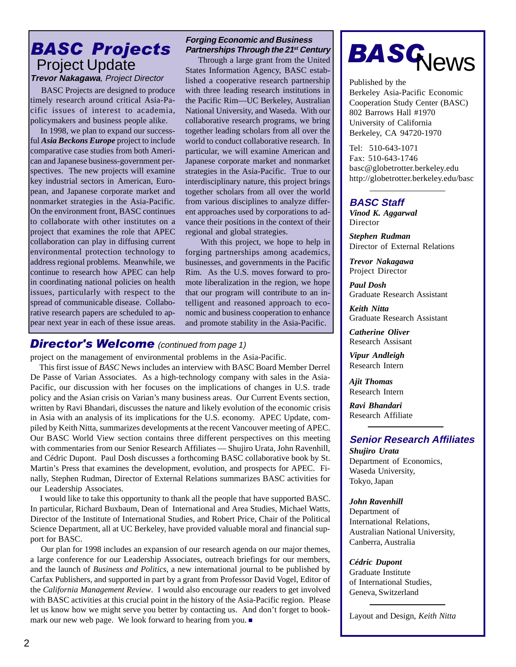# Project Update

**Trevor Nakagawa**, Project Director

 BASC Projects are designed to produce timely research around critical Asia-Pacific issues of interest to academia, policymakers and business people alike.

 In 1998, we plan to expand our successful *Asia Beckons Europe* project to include comparative case studies from both American and Japanese business-government perspectives. The new projects will examine key industrial sectors in American, European, and Japanese corporate market and nonmarket strategies in the Asia-Pacific. On the environment front, BASC continues to collaborate with other institutes on a project that examines the role that APEC collaboration can play in diffusing current environmental protection technology to address regional problems. Meanwhile, we continue to research how APEC can help in coordinating national policies on health issues, particularly with respect to the spread of communicable disease. Collaborative research papers are scheduled to appear next year in each of these issue areas.

#### Forging Economic and Business<br>**BASC Projects** Partnerships Through the 21<sup>st</sup> Cen **Partnerships Through the 21st Century**

 Through a large grant from the United States Information Agency, BASC established a cooperative research partnership with three leading research institutions in the Pacific Rim—UC Berkeley, Australian National University, and Waseda. With our collaborative research programs, we bring together leading scholars from all over the world to conduct collaborative research. In particular, we will examine American and Japanese corporate market and nonmarket strategies in the Asia-Pacific. True to our interdisciplinary nature, this project brings together scholars from all over the world from various disciplines to analyze different approaches used by corporations to advance their positions in the context of their regional and global strategies.

 With this project, we hope to help in forging partnerships among academics, businesses, and governments in the Pacific Rim. As the U.S. moves forward to promote liberalization in the region, we hope that our program will contribute to an intelligent and reasoned approach to economic and business cooperation to enhance and promote stability in the Asia-Pacific.

### **Director's Welcome** (continued from page 1)

project on the management of environmental problems in the Asia-Pacific.

 This first issue of *BASC* News includes an interview with BASC Board Member Derrel De Passe of Varian Associates. As a high-technology company with sales in the Asia-Pacific, our discussion with her focuses on the implications of changes in U.S. trade policy and the Asian crisis on Varian's many business areas. Our Current Events section, written by Ravi Bhandari, discusses the nature and likely evolution of the economic crisis in Asia with an analysis of its implications for the U.S. economy. APEC Update, compiled by Keith Nitta, summarizes developments at the recent Vancouver meeting of APEC. Our BASC World View section contains three different perspectives on this meeting with commentaries from our Senior Research Affiliates — Shujiro Urata, John Ravenhill, and Cédric Dupont. Paul Dosh discusses a forthcoming BASC collaborative book by St. Martin's Press that examines the development, evolution, and prospects for APEC. Finally, Stephen Rudman, Director of External Relations summarizes BASC activities for our Leadership Associates.

 I would like to take this opportunity to thank all the people that have supported BASC. In particular, Richard Buxbaum, Dean of International and Area Studies, Michael Watts, Director of the Institute of International Studies, and Robert Price, Chair of the Political Science Department, all at UC Berkeley, have provided valuable moral and financial support for BASC.

 Our plan for 1998 includes an expansion of our research agenda on our major themes, a large conference for our Leadership Associates, outreach briefings for our members, and the launch of *Business and Politics*, a new international journal to be published by Carfax Publishers, and supported in part by a grant from Professor David Vogel, Editor of the *California Management Review*. I would also encourage our readers to get involved with BASC activities at this crucial point in the history of the Asia-Pacific region. Please let us know how we might serve you better by contacting us. And don't forget to bookmark our new web page. We look forward to hearing from you.

# **BASG**News

Published by the Berkeley Asia-Pacific Economic Cooperation Study Center (BASC) 802 Barrows Hall #1970 University of California Berkeley, CA 94720-1970

Tel: 510-643-1071 Fax: 510-643-1746 basc@globetrotter.berkeley.edu http://globetrotter.berkeley.edu/basc

#### **BASC Staff**

*Vinod K. Aggarwal* Director

*Stephen Rudman* Director of External Relations

*Trevor Nakagawa* Project Director

*Paul Dosh* Graduate Research Assistant

*Keith Nitta* Graduate Research Assistant

*Catherine Oliver* Research Assisant

*Vipur Andleigh* Research Intern

*Ajit Thomas* Research Intern

*Ravi Bhandari* Research Affiliate

#### **Senior Research Affiliates**

*Shujiro Urata* Department of Economics, Waseda University, Tokyo, Japan

#### *John Ravenhill*

Department of International Relations, Australian National University, Canberra, Australia

#### *Cédric Dupont*

Graduate Institute of International Studies, Geneva, Switzerland

Layout and Design, *Keith Nitta*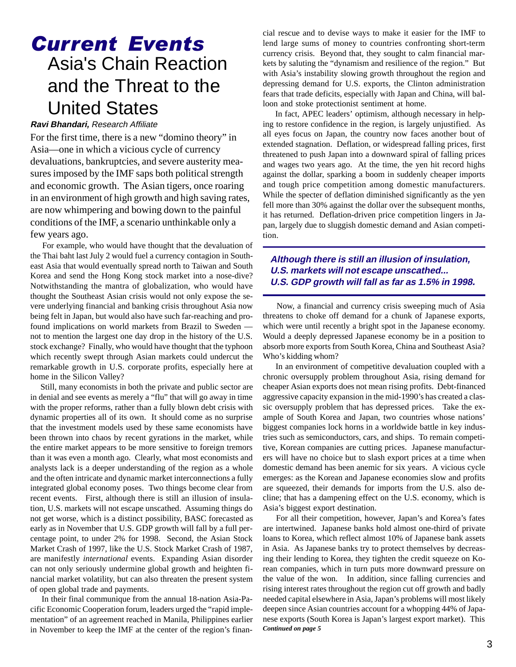# Current Events Asia's Chain Reaction and the Threat to the United States

#### **Ravi Bhandari,** Research Affiliate

For the first time, there is a new "domino theory" in Asia—one in which a vicious cycle of currency devaluations, bankruptcies, and severe austerity measures imposed by the IMF saps both political strength and economic growth. The Asian tigers, once roaring in an environment of high growth and high saving rates, are now whimpering and bowing down to the painful conditions of the IMF, a scenario unthinkable only a few years ago.

 For example, who would have thought that the devaluation of the Thai baht last July 2 would fuel a currency contagion in Southeast Asia that would eventually spread north to Taiwan and South Korea and send the Hong Kong stock market into a nose-dive? Notwithstanding the mantra of globalization, who would have thought the Southeast Asian crisis would not only expose the severe underlying financial and banking crisis throughout Asia now being felt in Japan, but would also have such far-reaching and profound implications on world markets from Brazil to Sweden not to mention the largest one day drop in the history of the U.S. stock exchange? Finally, who would have thought that the typhoon which recently swept through Asian markets could undercut the remarkable growth in U.S. corporate profits, especially here at home in the Silicon Valley?

 Still, many economists in both the private and public sector are in denial and see events as merely a "flu" that will go away in time with the proper reforms, rather than a fully blown debt crisis with dynamic properties all of its own. It should come as no surprise that the investment models used by these same economists have been thrown into chaos by recent gyrations in the market, while the entire market appears to be more sensitive to foreign tremors than it was even a month ago. Clearly, what most economists and analysts lack is a deeper understanding of the region as a whole and the often intricate and dynamic market interconnections a fully integrated global economy poses. Two things become clear from recent events. First, although there is still an illusion of insulation, U.S. markets will not escape unscathed. Assuming things do not get worse, which is a distinct possibility, BASC forecasted as early as in November that U.S. GDP growth will fall by a full percentage point, to under 2% for 1998. Second, the Asian Stock Market Crash of 1997, like the U.S. Stock Market Crash of 1987, are manifestly *international* events. Expanding Asian disorder can not only seriously undermine global growth and heighten financial market volatility, but can also threaten the present system of open global trade and payments.

 In their final communique from the annual 18-nation Asia-Pacific Economic Cooperation forum, leaders urged the "rapid implementation" of an agreement reached in Manila, Philippines earlier in November to keep the IMF at the center of the region's financial rescue and to devise ways to make it easier for the IMF to lend large sums of money to countries confronting short-term currency crisis. Beyond that, they sought to calm financial markets by saluting the "dynamism and resilience of the region." But with Asia's instability slowing growth throughout the region and depressing demand for U.S. exports, the Clinton administration fears that trade deficits, especially with Japan and China, will balloon and stoke protectionist sentiment at home.

 In fact, APEC leaders' optimism, although necessary in helping to restore confidence in the region, is largely unjustified. As all eyes focus on Japan, the country now faces another bout of extended stagnation. Deflation, or widespread falling prices, first threatened to push Japan into a downward spiral of falling prices and wages two years ago. At the time, the yen hit record highs against the dollar, sparking a boom in suddenly cheaper imports and tough price competition among domestic manufacturers. While the specter of deflation diminished significantly as the yen fell more than 30% against the dollar over the subsequent months, it has returned. Deflation-driven price competition lingers in Japan, largely due to sluggish domestic demand and Asian competition.

#### **Although there is still an illusion of insulation, U.S. markets will not escape unscathed... U.S. GDP growth will fall as far as 1.5% in 1998.**

 Now, a financial and currency crisis sweeping much of Asia threatens to choke off demand for a chunk of Japanese exports, which were until recently a bright spot in the Japanese economy. Would a deeply depressed Japanese economy be in a position to absorb more exports from South Korea, China and Southeast Asia? Who's kidding whom?

 In an environment of competitive devaluation coupled with a chronic oversupply problem throughout Asia, rising demand for cheaper Asian exports does not mean rising profits. Debt-financed aggressive capacity expansion in the mid-1990's has created a classic oversupply problem that has depressed prices. Take the example of South Korea and Japan, two countries whose nations' biggest companies lock horns in a worldwide battle in key industries such as semiconductors, cars, and ships. To remain competitive, Korean companies are cutting prices. Japanese manufacturers will have no choice but to slash export prices at a time when domestic demand has been anemic for six years. A vicious cycle emerges: as the Korean and Japanese economies slow and profits are squeezed, their demands for imports from the U.S. also decline; that has a dampening effect on the U.S. economy, which is Asia's biggest export destination.

*Continued on page 5* For all their competition, however, Japan's and Korea's fates are intertwined. Japanese banks hold almost one-third of private loans to Korea, which reflect almost 10% of Japanese bank assets in Asia. As Japanese banks try to protect themselves by decreasing their lending to Korea, they tighten the credit squeeze on Korean companies, which in turn puts more downward pressure on the value of the won. In addition, since falling currencies and rising interest rates throughout the region cut off growth and badly needed capital elsewhere in Asia, Japan's problems will most likely deepen since Asian countries account for a whopping 44% of Japanese exports (South Korea is Japan's largest export market). This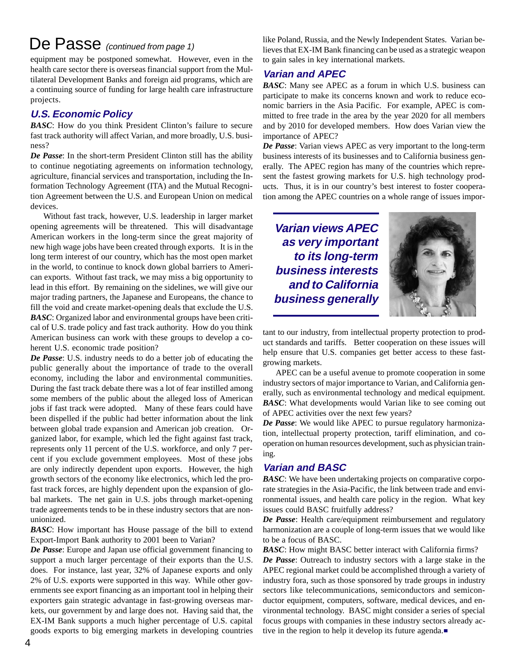# De Passe (continued from page 1)

equipment may be postponed somewhat. However, even in the health care sector there is overseas financial support from the Multilateral Development Banks and foreign aid programs, which are a continuing source of funding for large health care infrastructure projects.

#### **U.S. Economic Policy**

*BASC*: How do you think President Clinton's failure to secure fast track authority will affect Varian, and more broadly, U.S. business?

*De Passe*: In the short-term President Clinton still has the ability to continue negotiating agreements on information technology, agriculture, financial services and transportation, including the Information Technology Agreement (ITA) and the Mutual Recognition Agreement between the U.S. and European Union on medical devices.

 Without fast track, however, U.S. leadership in larger market opening agreements will be threatened. This will disadvantage American workers in the long-term since the great majority of new high wage jobs have been created through exports. It is in the long term interest of our country, which has the most open market in the world, to continue to knock down global barriers to American exports. Without fast track, we may miss a big opportunity to lead in this effort. By remaining on the sidelines, we will give our major trading partners, the Japanese and Europeans, the chance to fill the void and create market-opening deals that exclude the U.S. *BASC*: Organized labor and environmental groups have been critical of U.S. trade policy and fast track authority. How do you think American business can work with these groups to develop a coherent U.S. economic trade position?

*De Passe*: U.S. industry needs to do a better job of educating the public generally about the importance of trade to the overall economy, including the labor and environmental communities. During the fast track debate there was a lot of fear instilled among some members of the public about the alleged loss of American jobs if fast track were adopted. Many of these fears could have been dispelled if the public had better information about the link between global trade expansion and American job creation. Organized labor, for example, which led the fight against fast track, represents only 11 percent of the U.S. workforce, and only 7 percent if you exclude government employees. Most of these jobs are only indirectly dependent upon exports. However, the high growth sectors of the economy like electronics, which led the profast track forces, are highly dependent upon the expansion of global markets. The net gain in U.S. jobs through market-opening trade agreements tends to be in these industry sectors that are nonunionized.

*BASC*: How important has House passage of the bill to extend Export-Import Bank authority to 2001 been to Varian?

*De Passe*: Europe and Japan use official government financing to support a much larger percentage of their exports than the U.S. does. For instance, last year, 32% of Japanese exports and only 2% of U.S. exports were supported in this way. While other governments see export financing as an important tool in helping their exporters gain strategic advantage in fast-growing overseas markets, our government by and large does not. Having said that, the EX-IM Bank supports a much higher percentage of U.S. capital goods exports to big emerging markets in developing countries like Poland, Russia, and the Newly Independent States. Varian believes that EX-IM Bank financing can be used as a strategic weapon to gain sales in key international markets.

#### **Varian and APEC**

*BASC*: Many see APEC as a forum in which U.S. business can participate to make its concerns known and work to reduce economic barriers in the Asia Pacific. For example, APEC is committed to free trade in the area by the year 2020 for all members and by 2010 for developed members. How does Varian view the importance of APEC?

*De Passe*: Varian views APEC as very important to the long-term business interests of its businesses and to California business generally. The APEC region has many of the countries which represent the fastest growing markets for U.S. high technology products. Thus, it is in our country's best interest to foster cooperation among the APEC countries on a whole range of issues impor-

**Varian views APEC as very important to its long-term business interests and to California business generally**



tant to our industry, from intellectual property protection to product standards and tariffs. Better cooperation on these issues will help ensure that U.S. companies get better access to these fastgrowing markets.

APEC can be a useful avenue to promote cooperation in some industry sectors of major importance to Varian, and California generally, such as environmental technology and medical equipment. *BASC*: What developments would Varian like to see coming out of APEC activities over the next few years?

*De Passe*: We would like APEC to pursue regulatory harmonization, intellectual property protection, tariff elimination, and cooperation on human resources development, such as physician training.

#### **Varian and BASC**

*BASC*: We have been undertaking projects on comparative corporate strategies in the Asia-Pacific, the link between trade and environmental issues, and health care policy in the region. What key issues could BASC fruitfully address?

*De Passe*: Health care/equipment reimbursement and regulatory harmonization are a couple of long-term issues that we would like to be a focus of BASC.

*BASC*: How might BASC better interact with California firms?

*De Passe*: Outreach to industry sectors with a large stake in the APEC regional market could be accomplished through a variety of industry fora, such as those sponsored by trade groups in industry sectors like telecommunications, semiconductors and semiconductor equipment, computers, software, medical devices, and environmental technology. BASC might consider a series of special focus groups with companies in these industry sectors already active in the region to help it develop its future agenda.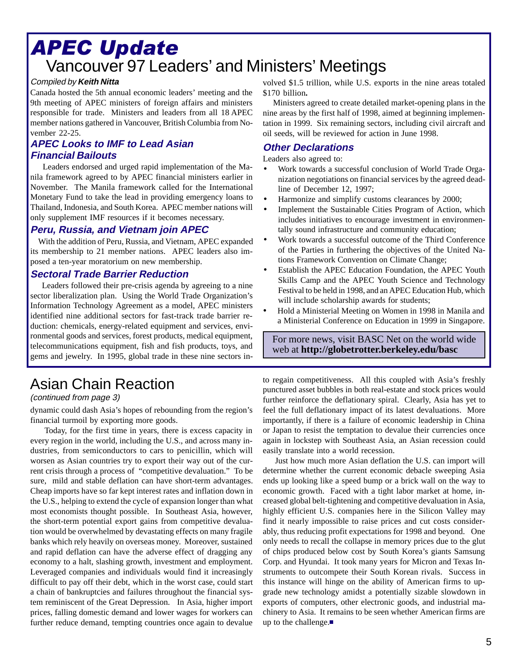# Vancouver 97 Leaders' and Ministers' Meetings APEC Update

Canada hosted the 5th annual economic leaders' meeting and the 9th meeting of APEC ministers of foreign affairs and ministers responsible for trade. Ministers and leaders from all 18 APEC member nations gathered in Vancouver, British Columbia from November 22-25.

#### **APEC Looks to IMF to Lead Asian Financial Bailouts**

 Leaders endorsed and urged rapid implementation of the Manila framework agreed to by APEC financial ministers earlier in November. The Manila framework called for the International Monetary Fund to take the lead in providing emergency loans to Thailand, Indonesia, and South Korea. APEC member nations will only supplement IMF resources if it becomes necessary.

#### **Peru, Russia, and Vietnam join APEC**

 With the addition of Peru, Russia, and Vietnam, APEC expanded its membership to 21 member nations. APEC leaders also imposed a ten-year moratorium on new membership.

#### **Sectoral Trade Barrier Reduction**

 Leaders followed their pre-crisis agenda by agreeing to a nine sector liberalization plan. Using the World Trade Organization's Information Technology Agreement as a model, APEC ministers identified nine additional sectors for fast-track trade barrier reduction: chemicals, energy-related equipment and services, environmental goods and services, forest products, medical equipment, telecommunications equipment, fish and fish products, toys, and gems and jewelry. In 1995, global trade in these nine sectors in-

# Asian Chain Reaction

#### (continued from page 3)

dynamic could dash Asia's hopes of rebounding from the region's financial turmoil by exporting more goods.

 Today, for the first time in years, there is excess capacity in every region in the world, including the U.S., and across many industries, from semiconductors to cars to penicillin, which will worsen as Asian countries try to export their way out of the current crisis through a process of "competitive devaluation." To be sure, mild and stable deflation can have short-term advantages. Cheap imports have so far kept interest rates and inflation down in the U.S., helping to extend the cycle of expansion longer than what most economists thought possible. In Southeast Asia, however, the short-term potential export gains from competitive devaluation would be overwhelmed by devastating effects on many fragile banks which rely heavily on overseas money. Moreover, sustained and rapid deflation can have the adverse effect of dragging any economy to a halt, slashing growth, investment and employment. Leveraged companies and individuals would find it increasingly difficult to pay off their debt, which in the worst case, could start a chain of bankruptcies and failures throughout the financial system reminiscent of the Great Depression. In Asia, higher import prices, falling domestic demand and lower wages for workers can further reduce demand, tempting countries once again to devalue

Compiled by **Keith Nitta** volved \$1.5 trillion, while U.S. exports in the nine areas totaled \$170 billion*.*

> Ministers agreed to create detailed market-opening plans in the nine areas by the first half of 1998, aimed at beginning implementation in 1999. Six remaining sectors, including civil aircraft and oil seeds, will be reviewed for action in June 1998.

#### **Other Declarations**

Leaders also agreed to:

- Work towards a successful conclusion of World Trade Organization negotiations on financial services by the agreed deadline of December 12, 1997;
- Harmonize and simplify customs clearances by 2000;
- Implement the Sustainable Cities Program of Action, which includes initiatives to encourage investment in environmentally sound infrastructure and community education;
- Work towards a successful outcome of the Third Conference of the Parties in furthering the objectives of the United Nations Framework Convention on Climate Change;
- Establish the APEC Education Foundation, the APEC Youth Skills Camp and the APEC Youth Science and Technology Festival to be held in 1998, and an APEC Education Hub, which will include scholarship awards for students;
- Hold a Ministerial Meeting on Women in 1998 in Manila and a Ministerial Conference on Education in 1999 in Singapore.

For more news, visit BASC Net on the world wide web at **http://globetrotter.berkeley.edu/basc**

to regain competitiveness. All this coupled with Asia's freshly punctured asset bubbles in both real-estate and stock prices would further reinforce the deflationary spiral. Clearly, Asia has yet to feel the full deflationary impact of its latest devaluations. More importantly, if there is a failure of economic leadership in China or Japan to resist the temptation to devalue their currencies once again in lockstep with Southeast Asia, an Asian recession could easily translate into a world recession.

 Just how much more Asian deflation the U.S. can import will determine whether the current economic debacle sweeping Asia ends up looking like a speed bump or a brick wall on the way to economic growth. Faced with a tight labor market at home, increased global belt-tightening and competitive devaluation in Asia, highly efficient U.S. companies here in the Silicon Valley may find it nearly impossible to raise prices and cut costs considerably, thus reducing profit expectations for 1998 and beyond. One only needs to recall the collapse in memory prices due to the glut of chips produced below cost by South Korea's giants Samsung Corp. and Hyundai. It took many years for Micron and Texas Instruments to outcompete their South Korean rivals. Success in this instance will hinge on the ability of American firms to upgrade new technology amidst a potentially sizable slowdown in exports of computers, other electronic goods, and industrial machinery to Asia. It remains to be seen whether American firms are up to the challenge.■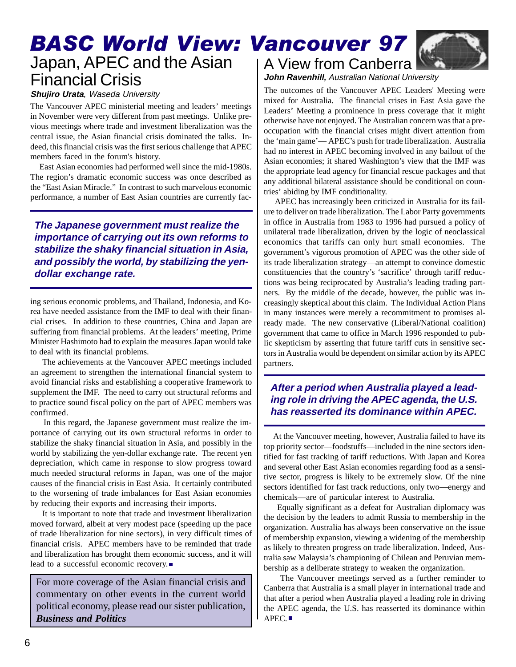# BASC World View: Vancouver 97 Japan, APEC and the Asian Financial Crisis

#### **Shujiro Urata**, Waseda University

The Vancouver APEC ministerial meeting and leaders' meetings in November were very different from past meetings. Unlike previous meetings where trade and investment liberalization was the central issue, the Asian financial crisis dominated the talks. Indeed, this financial crisis was the first serious challenge that APEC members faced in the forum's history.

 East Asian economies had performed well since the mid-1980s. The region's dramatic economic success was once described as the "East Asian Miracle." In contrast to such marvelous economic performance, a number of East Asian countries are currently fac-

**The Japanese government must realize the importance of carrying out its own reforms to stabilize the shaky financial situation in Asia, and possibly the world, by stabilizing the yendollar exchange rate.**

ing serious economic problems, and Thailand, Indonesia, and Korea have needed assistance from the IMF to deal with their financial crises. In addition to these countries, China and Japan are suffering from financial problems. At the leaders' meeting, Prime Minister Hashimoto had to explain the measures Japan would take to deal with its financial problems.

 The achievements at the Vancouver APEC meetings included an agreement to strengthen the international financial system to avoid financial risks and establishing a cooperative framework to supplement the IMF. The need to carry out structural reforms and to practice sound fiscal policy on the part of APEC members was confirmed.

 In this regard, the Japanese government must realize the importance of carrying out its own structural reforms in order to stabilize the shaky financial situation in Asia, and possibly in the world by stabilizing the yen-dollar exchange rate. The recent yen depreciation, which came in response to slow progress toward much needed structural reforms in Japan, was one of the major causes of the financial crisis in East Asia. It certainly contributed to the worsening of trade imbalances for East Asian economies by reducing their exports and increasing their imports.

 It is important to note that trade and investment liberalization moved forward, albeit at very modest pace (speeding up the pace of trade liberalization for nine sectors), in very difficult times of financial crisis. APEC members have to be reminded that trade and liberalization has brought them economic success, and it will lead to a successful economic recovery.

For more coverage of the Asian financial crisis and commentary on other events in the current world political economy, please read our sister publication, *Business and Politics*





**John Ravenhill,** Australian National University

The outcomes of the Vancouver APEC Leaders' Meeting were mixed for Australia. The financial crises in East Asia gave the Leaders' Meeting a prominence in press coverage that it might otherwise have not enjoyed. The Australian concern was that a preoccupation with the financial crises might divert attention from the 'main game'— APEC's push for trade liberalization. Australia had no interest in APEC becoming involved in any bailout of the Asian economies; it shared Washington's view that the IMF was the appropriate lead agency for financial rescue packages and that any additional bilateral assistance should be conditional on countries' abiding by IMF conditionality.

 APEC has increasingly been criticized in Australia for its failure to deliver on trade liberalization. The Labor Party governments in office in Australia from 1983 to 1996 had pursued a policy of unilateral trade liberalization, driven by the logic of neoclassical economics that tariffs can only hurt small economies. The government's vigorous promotion of APEC was the other side of its trade liberalization strategy—an attempt to convince domestic constituencies that the country's 'sacrifice' through tariff reductions was being reciprocated by Australia's leading trading partners. By the middle of the decade, however, the public was increasingly skeptical about this claim. The Individual Action Plans in many instances were merely a recommitment to promises already made. The new conservative (Liberal/National coalition) government that came to office in March 1996 responded to public skepticism by asserting that future tariff cuts in sensitive sectors in Australia would be dependent on similar action by its APEC partners.

#### **After a period when Australia played a leading role in driving the APEC agenda, the U.S. has reasserted its dominance within APEC.**

 At the Vancouver meeting, however, Australia failed to have its top priority sector—foodstuffs—included in the nine sectors identified for fast tracking of tariff reductions. With Japan and Korea and several other East Asian economies regarding food as a sensitive sector, progress is likely to be extremely slow. Of the nine sectors identified for fast track reductions, only two—energy and chemicals—are of particular interest to Australia.

 Equally significant as a defeat for Australian diplomacy was the decision by the leaders to admit Russia to membership in the organization. Australia has always been conservative on the issue of membership expansion, viewing a widening of the membership as likely to threaten progress on trade liberalization. Indeed, Australia saw Malaysia's championing of Chilean and Peruvian membership as a deliberate strategy to weaken the organization.

 The Vancouver meetings served as a further reminder to Canberra that Australia is a small player in international trade and that after a period when Australia played a leading role in driving the APEC agenda, the U.S. has reasserted its dominance within APEC.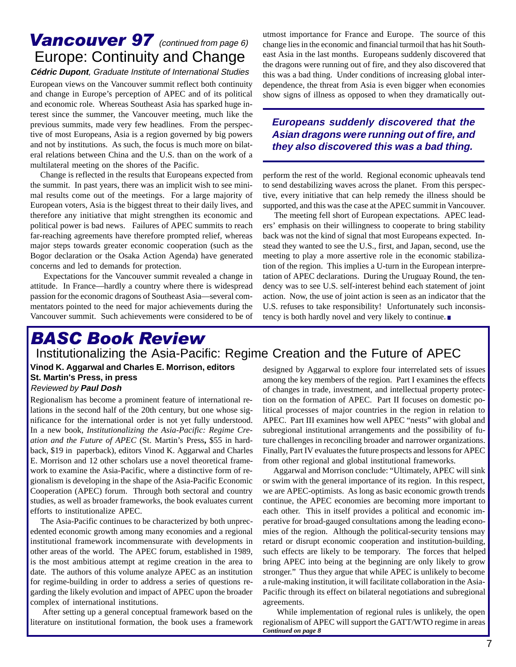## **Vancouver 97** (continued from page 6) Europe: Continuity and Change

**Cédric Dupont**, Graduate Institute of International Studies European views on the Vancouver summit reflect both continuity and change in Europe's perception of APEC and of its political and economic role. Whereas Southeast Asia has sparked huge interest since the summer, the Vancouver meeting, much like the previous summits, made very few headlines. From the perspective of most Europeans, Asia is a region governed by big powers and not by institutions. As such, the focus is much more on bilateral relations between China and the U.S. than on the work of a multilateral meeting on the shores of the Pacific.

 Change is reflected in the results that Europeans expected from the summit. In past years, there was an implicit wish to see minimal results come out of the meetings. For a large majority of European voters, Asia is the biggest threat to their daily lives, and therefore any initiative that might strengthen its economic and political power is bad news. Failures of APEC summits to reach far-reaching agreements have therefore prompted relief, whereas major steps towards greater economic cooperation (such as the Bogor declaration or the Osaka Action Agenda) have generated concerns and led to demands for protection.

 Expectations for the Vancouver summit revealed a change in attitude. In France—hardly a country where there is widespread passion for the economic dragons of Southeast Asia—several commentators pointed to the need for major achievements during the Vancouver summit. Such achievements were considered to be of utmost importance for France and Europe. The source of this change lies in the economic and financial turmoil that has hit Southeast Asia in the last months. Europeans suddenly discovered that the dragons were running out of fire, and they also discovered that this was a bad thing. Under conditions of increasing global interdependence, the threat from Asia is even bigger when economies show signs of illness as opposed to when they dramatically out-

#### **Europeans suddenly discovered that the Asian dragons were running out of fire, and they also discovered this was a bad thing.**

perform the rest of the world. Regional economic upheavals tend to send destabilizing waves across the planet. From this perspective, every initiative that can help remedy the illness should be supported, and this was the case at the APEC summit in Vancouver.

 The meeting fell short of European expectations. APEC leaders' emphasis on their willingness to cooperate to bring stability back was not the kind of signal that most Europeans expected. Instead they wanted to see the U.S., first, and Japan, second, use the meeting to play a more assertive role in the economic stabilization of the region. This implies a U-turn in the European interpretation of APEC declarations. During the Uruguay Round, the tendency was to see U.S. self-interest behind each statement of joint action. Now, the use of joint action is seen as an indicator that the U.S. refuses to take responsibility! Unfortunately such inconsistency is both hardly novel and very likely to continue.

# BASC Book Review

### Institutionalizing the Asia-Pacific: Regime Creation and the Future of APEC

Reviewed by **Paul Dosh Vinod K. Aggarwal and Charles E. Morrison, editors**

Regionalism has become a prominent feature of international relations in the second half of the 20th century, but one whose significance for the international order is not yet fully understood. In a new book, *Institutionalizing the Asia-Pacific: Regime Creation and the Future of APEC* (St. Martin's Press**,** \$55 in hardback, \$19 in paperback), editors Vinod K. Aggarwal and Charles E. Morrison and 12 other scholars use a novel theoretical framework to examine the Asia-Pacific, where a distinctive form of regionalism is developing in the shape of the Asia-Pacific Economic Cooperation (APEC) forum. Through both sectoral and country studies, as well as broader frameworks, the book evaluates current efforts to institutionalize APEC.

 The Asia-Pacific continues to be characterized by both unprecedented economic growth among many economies and a regional institutional framework incommensurate with developments in other areas of the world. The APEC forum, established in 1989, is the most ambitious attempt at regime creation in the area to date. The authors of this volume analyze APEC as an institution for regime-building in order to address a series of questions regarding the likely evolution and impact of APEC upon the broader complex of international institutions.

 After setting up a general conceptual framework based on the literature on institutional formation, the book uses a framework

**Vinod K. Aggarwal and Charles E. Morrison, editors** designed by Aggarwal to explore four interrelated sets of issues<br>St. Martin's Press, in press among the key members of the region. Part I examines the effects of changes in trade, investment, and intellectual property protection on the formation of APEC. Part II focuses on domestic political processes of major countries in the region in relation to APEC. Part III examines how well APEC "nests" with global and subregional institutional arrangements and the possibility of future challenges in reconciling broader and narrower organizations. Finally, Part IV evaluates the future prospects and lessons for APEC from other regional and global institutional frameworks.

> Aggarwal and Morrison conclude: "Ultimately, APEC will sink or swim with the general importance of its region. In this respect, we are APEC-optimists. As long as basic economic growth trends continue, the APEC economies are becoming more important to each other. This in itself provides a political and economic imperative for broad-gauged consultations among the leading economies of the region. Although the political-security tensions may retard or disrupt economic cooperation and institution-building, such effects are likely to be temporary. The forces that helped bring APEC into being at the beginning are only likely to grow stronger." Thus they argue that while APEC is unlikely to become a rule-making institution, it will facilitate collaboration in the Asia-Pacific through its effect on bilateral negotiations and subregional agreements.

> While implementation of regional rules is unlikely, the open regionalism of APEC will support the GATT/WTO regime in areas *Continued on page 8*